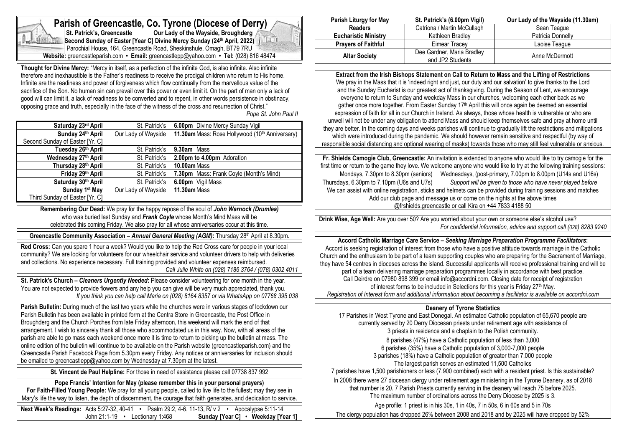

# **Parish of Greencastle, Co. Tyrone (Diocese of Derry)**<br>St. Patrick's. Greencastle Our Lady of the Wayside. Broughderg

**Star Cur Lady of the Wayside, Broughderg Second Sunday of Easter [Year C] Divine Mercy Sunday (24th April, 2022)** Parochial House, 164, Greencastle Road, Sheskinshule, Omagh, BT79 7RU **Website:** greencastleparish.com **• Email:** greencastlepp@yahoo.com **• Tel:** (028) 816 48474

**Thought for Divine Mercy:** "Mercy in itself, as a perfection of the infinite God, is also infinite. Also infinite therefore and inexhaustible is the Father's readiness to receive the prodigal children who return to His home. Infinite are the readiness and power of forgiveness which flow continually from the marvellous value of the sacrifice of the Son. No human sin can prevail over this power or even limit it. On the part of man only a lack of good will can limit it, a lack of readiness to be converted and to repent, in other words persistence in obstinacy, opposing grace and truth, especially in the face of the witness of the cross and resurrection of Christ." *Pope St. John Paul II*

| Saturday 23rd April             | St. Patrick's       | 6.00pm Divine Mercy Sunday Vigil                |
|---------------------------------|---------------------|-------------------------------------------------|
| Sunday 24th April               | Our Lady of Wayside | 11.30am Mass: Rose Hollywood (10th Anniversary) |
| Second Sunday of Easter [Yr. C] |                     |                                                 |
| Tuesday 26th April              | St. Patrick's       | 9.30am Mass                                     |
| Wednesday 27th April            | St. Patrick's       | 2.00pm to 4.00pm Adoration                      |
| Thursday 28 <sup>th</sup> April | St. Patrick's       | 10.00am Mass                                    |
| Friday 29th April               | St. Patrick's       | <b>7.30pm</b> Mass: Frank Coyle (Month's Mind)  |
| Saturday 30th April             | St. Patrick's       | 6.00pm Vigil Mass                               |
| Sunday 1st May                  | Our Lady of Wayside | 11.30am Mass                                    |
| Third Sunday of Easter [Yr. C]  |                     |                                                 |

**Remembering Our Dead:** We pray for the happy repose of the soul of *John Warnock (Drumlea)* who was buried last Sunday and *Frank Coyle* whose Month's Mind Mass will be celebrated this coming Friday. We also pray for all whose anniversaries occur at this time.

**Greencastle Community Association –** *Annual General Meeting (AGM)***:** Thursday 28th April at 8.30pm.

**Red Cross:** Can you spare 1 hour a week? Would you like to help the Red Cross care for people in your local community? We are looking for volunteers for our wheelchair service and volunteer drivers to help with deliveries and collections. No experience necessary. Full training provided and volunteer expenses reimbursed. *Call Julie White on (028) 7186 3764 / (078) 0302 4011*

**St. Patrick's Church –** *Cleaners Urgently Needed***:** Please consider volunteering for one month in the year. You are not expected to provide flowers and any help you can give will be very much appreciated, thank you. *If you think you can help call Maria on (028) 8164 8357 or via WhatsApp on 07768 395 038*

**Parish Bulletin:** During much of the last two years while the churches were in various stages of lockdown our Parish Bulletin has been available in printed form at the Centra Store in Greencastle, the Post Office in Broughderg and the Church Porches from late Friday afternoon, this weekend will mark the end of that arrangement. I wish to sincerely thank all those who accommodated us in this way. Now, with all areas of the parish are able to go mass each weekend once more it is time to return to picking up the bulletin at mass. The online edition of the bulletin will continue to be available on the Parish website (greencastleparish.com) and the Greencastle Parish Facebook Page from 5.30pm every Friday. Any notices or anniversaries for inclusion should be emailed to greencastlepp@yahoo.com by Wednesday at 7.30pm at the latest.

**St. Vincent de Paul Helpline:** For those in need of assistance please call 07738 837 992

**Pope Francis' Intention for May (please remember this in your personal prayers) For Faith-Filled Young People:** We pray for all young people, called to live life to the fullest; may they see in Mary's life the way to listen, the depth of discernment, the courage that faith generates, and dedication to service.

**Next Week's Readings:** Acts 5:27-32, 40-41 • Psalm 29:2, 4-6, 11-13, R/ v 2 • Apocalypse 5:11-14 John 21:1-19 • Lectionary 1:468 **Sunday [Year C]** • **Weekday [Year 1]**

| Parish Liturgy for May      | St. Patrick's (6.00pm Vigil)                   | Our Lady of the Wayside (11.30am) |
|-----------------------------|------------------------------------------------|-----------------------------------|
| <b>Readers</b>              | Catriona / Martin McCullagh                    | Sean Teaque                       |
| <b>Eucharistic Ministry</b> | Kathleen Bradlev                               | Patricia Donnelly                 |
| <b>Prayers of Faithful</b>  | Eimear Tracev                                  | Laoise Teague                     |
| <b>Altar Society</b>        | Dee Gardner, Maria Bradley<br>and JP2 Students | Anne McDermott                    |

**Extract from the Irish Bishops Statement on Call to Return to Mass and the Lifting of Restrictions** We pray in the Mass that it is 'indeed right and just, our duty and our salvation' to give thanks to the Lord and the Sunday Eucharist is our greatest act of thanksgiving. During the Season of Lent, we encourage everyone to return to Sunday and weekday Mass in our churches, welcoming each other back as we gather once more together. From Easter Sunday 17<sup>th</sup> April this will once again be deemed an essential expression of faith for all in our Church in Ireland. As always, those whose health is vulnerable or who are unwell will not be under any obligation to attend Mass and should keep themselves safe and pray at home until they are better. In the coming days and weeks parishes will continue to gradually lift the restrictions and mitigations which were introduced during the pandemic. We should however remain sensitive and respectful (by way of responsible social distancing and optional wearing of masks) towards those who may still feel vulnerable or anxious.

**Fr. Shields Camogie Club, Greencastle:** An invitation is extended to anyone who would like to try camogie for the first time or return to the game they love. We welcome anyone who would like to try at the following training sessions: Mondays, 7.30pm to 8.30pm (seniors) Wednesdays, (post-primary, 7.00pm to 8.00pm (U14s and U16s) Thursdays, 6.30pm to 7.10pm (U6s and U7s) *Support will be given to those who have never played before* We can assist with online registration, sticks and helmets can be provided during training sessions and matches Add our club page and message us or come on the nights at the above times @frshields.greencastle or call Kira on +44 7833 4188 50

**Drink Wise, Age Well:** Are you over 50? Are you worried about your own or someone else's alcohol use? *For confidential information, advice and support call (028) 8283 9240*

**Accord Catholic Marriage Care Service –** *Seeking Marriage Preparation Programme Facilitators***:** Accord is seeking registration of interest from those who have a positive attitude towards marriage in the Catholic Church and the enthusiasm to be part of a team supporting couples who are preparing for the Sacrament of Marriage, they have 54 centres in dioceses across the island. Successful applicants will receive professional training and will be part of a team delivering marriage preparation programmes locally in accordance with best practice. Call Deirdre on 07980 898 399 or email info@accordni.com. Closing date for receipt of registration of interest forms to be included in Selections for this year is Friday 27<sup>th</sup> May. *Registration of Interest form and additional information about becoming a facilitator is available on accordni.com*

# **Deanery of Tyrone Statistics**

17 Parishes in West Tyrone and East Donegal. An estimated Catholic population of 65,670 people are currently served by 20 Derry Diocesan priests under retirement age with assistance of 3 priests in residence and a chaplain to the Polish community.

 parishes (47%) have a Catholic population of less than 3,000 parishes (35%) have a Catholic population of 3,000-7,000 people parishes (18%) have a Catholic population of greater than 7,000 people The largest parish serves an estimated 11,500 Catholics

7 parishes have 1,500 parishioners or less (7,900 combined) each with a resident priest. Is this sustainable?

In 2008 there were 27 diocesan clergy under retirement age ministering in the Tyrone Deanery, as of 2018 that number is 20. 7 Parish Priests currently serving in the deanery will reach 75 before 2025.

The maximum number of ordinations across the Derry Diocese by 2025 is 3.

Age profile: 1 priest is in his 30s, 1 in 40s, 7 in 50s, 6 in 60s and 5 in 70s

The clergy population has dropped 26% between 2008 and 2018 and by 2025 will have dropped by 52%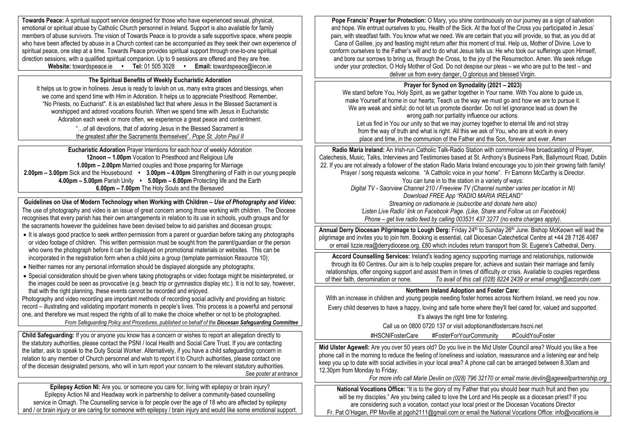**Towards Peace:** A spiritual support service designed for those who have experienced sexual, physical, emotional or spiritual abuse by Catholic Church personnel in Ireland. Support is also available for family members of abuse survivors. The vision of Towards Peace is to provide a safe supportive space, where people who have been affected by abuse in a Church context can be accompanied as they seek their own experience of spiritual peace, one step at a time. Towards Peace provides spiritual support through one-to-one spiritual direction sessions, with a qualified spiritual companion. Up to 9 sessions are offered and they are free. **Website:** towardspeace.ie **• Tel:** 01 505 3028 **• Email:** [towardspeace@iecon.ie](mailto:towardspeace@iecon.ie)

#### **The Spiritual Benefits of Weekly Eucharistic Adoration**

It helps us to grow in holiness. Jesus is ready to lavish on us, many extra graces and blessings, when we come and spend time with Him in Adoration. It helps us to appreciate Priesthood. Remember, "No Priests, no Eucharist". It is an established fact that where Jesus in the Blessed Sacrament is worshipped and adored vocations flourish. When we spend time with Jesus in Eucharistic Adoration each week or more often, we experience a great peace and contentment.

> "…of all devotions, that of adoring Jesus in the Blessed Sacrament is the greatest after the Sacraments themselves". *Pope St. John Paul II*

**Eucharistic Adoration** Prayer Intentions for each hour of weekly Adoration **12noon – 1.00pm** Vocation to Priesthood and Religious Life **1.00pm – 2.00pm** Married couples and those preparing for Marriage **2.00pm – 3.00pm** Sick and the Housebound **• 3.00pm – 4.00pm** Strengthening of Faith in our young people **4.00pm – 5.00pm** Parish Unity **• 5.00pm – 6.00pm** Protecting life and the Earth **6.00pm – 7.00pm** The Holy Souls and the Bereaved

**Guidelines on Use of Modern Technology when Working with Children –** *Use of Photography and Video***:** The use of photography and video is an issue of great concern among those working with children. The Diocese recognises that every parish has their own arrangements in relation to its use in schools, youth groups and for the sacraments however the guidelines have been devised below to aid parishes and diocesan groups:

- It is always good practice to seek *written* permission from a parent or guardian before taking any photographs or video footage of children. This written permission must be sought from the parent/guardian or the person who owns the photograph before it can be displayed on promotional materials or websites. This can be incorporated in the registration form when a child joins a group (template permission Resource 10);
- Neither names nor any personal information should be displayed alongside any photographs:
- Special consideration should be given where taking photographs or video footage might be misinterpreted, or the images could be seen as provocative (e.g. beach trip or gymnastics display etc.). It is not to say, however, that with the right planning, these events cannot be recorded and enjoyed.

Photography and video recording are important methods of recording social activity and providing an historic record – illustrating and validating important moments in people's lives. This process is a powerful and personal one, and therefore we must respect the rights of all to make the choice whether or not to be photographed. *From Safeguarding Policy and Procedures, published on behalf of the Diocesan Safeguarding Committee*

**Child Safeguarding:** If you or anyone you know has a concern or wishes to report an allegation directly to the statutory authorities, please contact the PSNI / local Health and Social Care Trust. If you are contacting the latter, ask to speak to the Duty Social Worker. Alternatively, if you have a child safeguarding concern in relation to any member of Church personnel and wish to report it to Church authorities, please contact one of the diocesan designated persons, who will in turn report your concern to the relevant statutory authorities. *See poster at entrance*

**Epilepsy Action NI:** Are you, or someone you care for, living with epilepsy or brain injury? Epilepsy Action NI and Headway work in partnership to deliver a community-based counselling service in Omagh. The Counselling service is for people over the age of 18 who are affected by epilepsy and / or brain injury or are caring for someone with epilepsy / brain injury and would like some emotional support.

**Pope Francis' Prayer for Protection:** O Mary, you shine continuously on our journey as a sign of salvation and hope. We entrust ourselves to you, Health of the Sick. At the foot of the Cross you participated in Jesus' pain, with steadfast faith. You know what we need. We are certain that you will provide, so that, as you did at Cana of Galilee, joy and feasting might return after this moment of trial. Help us, Mother of Divine. Love to conform ourselves to the Father's will and to do what Jesus tells us: He who took our sufferings upon Himself, and bore our sorrows to bring us, through the Cross, to the joy of the Resurrection. Amen. We seek refuge under your protection, O Holy Mother of God. Do not despise our pleas – we who are put to the test – and deliver us from every danger, O glorious and blessed Virgin.

#### **Prayer for Synod on Synodality (2021 – 2023)**

We stand before You, Holy Spirit, as we gather together in Your name. With You alone to guide us, make Yourself at home in our hearts; Teach us the way we must go and how we are to pursue it. We are weak and sinful; do not let us promote disorder. Do not let ignorance lead us down the wrong path nor partiality influence our actions.

Let us find in You our unity so that we may journey together to eternal life and not stray from the way of truth and what is right. All this we ask of You, who are at work in every place and time, in the communion of the Father and the Son, forever and ever. *Amen*

**Radio Maria Ireland:** An Irish-run Catholic Talk-Radio Station with commercial-free broadcasting of Prayer, Catechesis, Music, Talks, Interviews and Testimonies based at St. Anthony's Business Park, Ballymount Road, Dublin 22. If you are not already a follower of the station Radio Maria Ireland encourage you to join their growing faith family! Prayer / song requests welcome. "A Catholic voice in your home". Fr Eamonn McCarthy is Director. You can tune in to the station in a variety of ways: *Digital TV - Saorview Channel 210 / Freeview TV (Channel number varies per location in NI) Download FREE App "RADIO MARIA IRELAND" Streaming on radiomarie.ie (subscribe and donate here also) 'Listen Live Radio' link on Facebook Page. (Like, Share and Follow us on Facebook) Phone – get live radio feed by calling 003531 437 3277 (no extra charges apply).*

Annual Derry Diocesan Pilgrimage to Lough Derg: Friday 24<sup>th</sup> to Sunday 26<sup>th</sup> June. Bishop McKeown will lead the pilgrimage and invites you to join him. Booking is essential, call Diocesan Catechetical Centre at +44 28 7126 4087 or email lizzie.rea@derrydiocese.org. £80 which includes return transport from St. Eugene's Cathedral, Derry.

**Accord Counselling Services:** Ireland's leading agency supporting marriage and relationships, nationwide through its 60 Centres. Our aim is to help couples prepare for, achieve and sustain their marriage and family relationships, offer ongoing support and assist them in times of difficulty or crisis. Available to couples regardless of their faith, denomination or none. *To avail of this call (028) 8224 2439 or email omagh@accordni.com*

#### **Northern Ireland Adoption and Foster Care:**

With an increase in children and young people needing foster homes across Northern Ireland, we need you now. Every child deserves to have a happy, loving and safe home where they'll feel cared for, valued and supported.

It's always the right time for fostering.

Call us on 0800 0720 137 or visit adoptionandfostercare.hscni.net

#HSCNIFosterCare #FosterForYourCommunity #CouldYouFoster

**Mid Ulster Agewell:** Are you over 50 years old? Do you live in the Mid Ulster Council area? Would you like a free phone call in the morning to reduce the feeling of loneliness and isolation, reassurance and a listening ear and help keep you up to date with social activities in your local area? A phone call can be arranged between 8.30am and 12.30pm from Monday to Friday.

*For more info call Marie Devlin on (028) 796 32170 or email [marie.devlin@agewellpartnership.org](mailto:marie.devlin@agewellpartnership.org)*

**National Vocations Office:** "It is to the glory of my Father that you should bear much fruit and then you will be my disciples." Are you being called to love the Lord and His people as a diocesan priest? If you are considering such a vocation, contact your local priest or the Diocesan Vocations Director Fr. Pat O'Hagan, PP Moville at pgoh2111@gmail.com or email the National Vocations Office: info@vocations.ie